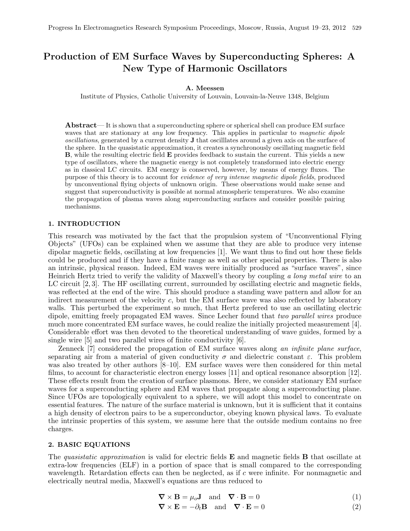# Production of EM Surface Waves by Superconducting Spheres: A New Type of Harmonic Oscillators

## A. Meessen

Institute of Physics, Catholic University of Louvain, Louvain-la-Neuve 1348, Belgium

Abstract— It is shown that a superconducting sphere or spherical shell can produce EM surface waves that are stationary at *any* low frequency. This applies in particular to *magnetic dipole* oscillations, generated by a current density J that oscilllates around a given axis on the surface of the sphere. In the quasistatic approximation, it creates a synchronously oscillating magnetic field B, while the resulting electric field E provides feedback to sustain the current. This yields a new type of oscillators, where the magnetic energy is not completely transformed into electric energy as in classical LC circuits. EM energy is conserved, however, by means of energy fluxes. The purpose of this theory is to account for evidence of very intense magnetic dipole fields, produced by unconventional flying objects of unknown origin. These observations would make sense and suggest that superconductivity is possible at normal atmospheric temperatures. We also examine the propagation of plasma waves along superconducting surfaces and consider possible pairing mechanisms.

## 1. INTRODUCTION

This research was motivated by the fact that the propulsion system of "Unconventional Flying Objects" (UFOs) can be explained when we assume that they are able to produce very intense dipolar magnetic fields, oscillating at low frequencies [1]. We want thus to find out how these fields could be produced and if they have a finite range as well as other special properties. There is also an intrinsic, physical reason. Indeed, EM waves were initially produced as "surface waves", since Heinrich Hertz tried to verify the validity of Maxwell's theory by coupling a long metal wire to an LC circuit [2, 3]. The HF oscillating current, surrounded by oscillating electric and magnetic fields, was reflected at the end of the wire. This should produce a standing wave pattern and allow for an indirect measurement of the velocity  $c$ , but the EM surface wave was also reflected by laboratory walls. This perturbed the experiment so much, that Hertz prefered to use an oscillating electric dipole, emitting freely propagated EM waves. Since Lecher found that two parallel wires produce much more concentrated EM surface waves, he could realize the initially projected measurement [4]. Considerable effort was then devoted to the theoretical understanding of wave guides, formed by a single wire [5] and two parallel wires of finite conductivity [6].

Zenneck [7] considered the propagation of EM surface waves along an infinite plane surface, separating air from a material of given conductivity  $\sigma$  and dielectric constant  $\varepsilon$ . This problem was also treated by other authors [8–10]. EM surface waves were then considered for thin metal films, to account for characteristic electron energy losses [11] and optical resonance absorption [12]. These effects result from the creation of surface plasmons. Here, we consider stationary EM surface waves for a superconducting sphere and EM waves that propagate along a superconducting plane. Since UFOs are topologically equivalent to a sphere, we will adopt this model to concentrate on essential features. The nature of the surface material is unknown, but it is sufficient that it contains a high density of electron pairs to be a superconductor, obeying known physical laws. To evaluate the intrinsic properties of this system, we assume here that the outside medium contains no free charges.

### 2. BASIC EQUATIONS

The quasistatic approximation is valid for electric fields  $E$  and magnetic fields  $B$  that oscillate at extra-low frequencies (ELF) in a portion of space that is small compared to the corresponding wavelength. Retardation effects can then be neglected, as if c were infinite. For nonmagnetic and electrically neutral media, Maxwell's equations are thus reduced to

$$
\nabla \times \mathbf{B} = \mu_o \mathbf{J} \quad \text{and} \quad \nabla \cdot \mathbf{B} = 0 \tag{1}
$$

$$
\nabla \times \mathbf{E} = -\partial_t \mathbf{B} \quad \text{and} \quad \nabla \cdot \mathbf{E} = 0 \tag{2}
$$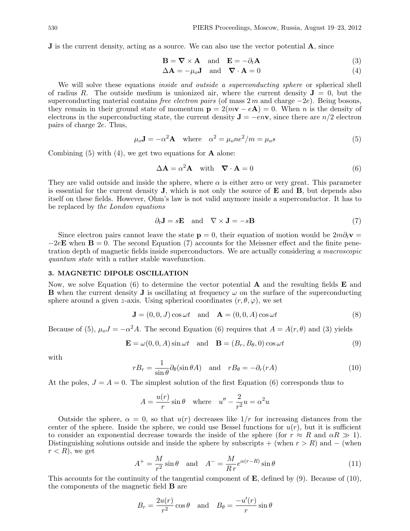**J** is the current density, acting as a source. We can also use the vector potential **A**, since

$$
\mathbf{B} = \nabla \times \mathbf{A} \quad \text{and} \quad \mathbf{E} = -\partial_t \mathbf{A} \tag{3}
$$

$$
\Delta \mathbf{A} = -\mu_o \mathbf{J} \quad \text{and} \quad \nabla \cdot \mathbf{A} = 0 \tag{4}
$$

We will solve these equations *inside and outside a superconducting sphere* or spherical shell of radius R. The outside medium is unionized air, where the current density  $J = 0$ , but the superconducting material contains *free electron pairs* (of mass  $2 m$  and charge  $-2e$ ). Being bosons, they remain in their ground state of momentum  $p = 2(mv - eA) = 0$ . When *n* is the density of electrons in the superconducting state, the current density  $\mathbf{J} = -e n \mathbf{v}$ , since there are  $n/2$  electron pairs of charge 2e. Thus,

$$
\mu_o \mathbf{J} = -\alpha^2 \mathbf{A} \quad \text{where} \quad \alpha^2 = \mu_o n e^2 / m = \mu_o s \tag{5}
$$

Combining  $(5)$  with  $(4)$ , we get two equations for **A** alone:

$$
\Delta \mathbf{A} = \alpha^2 \mathbf{A} \quad \text{with} \quad \nabla \cdot \mathbf{A} = 0 \tag{6}
$$

They are valid outside and inside the sphere, where  $\alpha$  is either zero or very great. This parameter is essential for the current density  $J$ , which is not only the source of  $E$  and  $B$ , but depends also itself on these fields. However, Ohm's law is not valid anymore inside a superconductor. It has to be replaced by the London equations

$$
\partial_t \mathbf{J} = s\mathbf{E} \quad \text{and} \quad \nabla \times \mathbf{J} = -s\mathbf{B} \tag{7}
$$

Since electron pairs cannot leave the state  $p = 0$ , their equation of motion would be  $2m\partial_t v =$  $-2e\mathbf{E}$  when  $\mathbf{B} = 0$ . The second Equation (7) accounts for the Meissner effect and the finite penetration depth of magnetic fields inside superconductors. We are actually considering a macroscopic quantum state with a rather stable wavefunction.

# 3. MAGNETIC DIPOLE OSCILLATION

Now, we solve Equation (6) to determine the vector potential  $\bf{A}$  and the resulting fields  $\bf{E}$  and **B** when the current density **J** is oscillating at frequency  $\omega$  on the surface of the superconducting sphere around a given z-axis. Using spherical coordinates  $(r, \theta, \varphi)$ , we set

$$
\mathbf{J} = (0, 0, J) \cos \omega t \quad \text{and} \quad \mathbf{A} = (0, 0, A) \cos \omega t \tag{8}
$$

Because of (5),  $\mu_o J = -\alpha^2 A$ . The second Equation (6) requires that  $A = A(r, \theta)$  and (3) yields

$$
\mathbf{E} = \omega(0, 0, A) \sin \omega t \quad \text{and} \quad \mathbf{B} = (B_r, B_\theta, 0) \cos \omega t \tag{9}
$$

with

$$
rB_r = \frac{1}{\sin \theta} \partial_\theta (\sin \theta A) \quad \text{and} \quad rB_\theta = -\partial_r (rA) \tag{10}
$$

At the poles,  $J = A = 0$ . The simplest solution of the first Equation (6) corresponds thus to

$$
A = \frac{u(r)}{r} \sin \theta \quad \text{where} \quad u'' - \frac{2}{r^2} u = \alpha^2 u
$$

Outside the sphere,  $\alpha = 0$ , so that  $u(r)$  decreases like  $1/r$  for increasing distances from the center of the sphere. Inside the sphere, we could use Bessel functions for  $u(r)$ , but it is sufficient to consider an exponential decrease towards the inside of the sphere (for  $r \approx R$  and  $\alpha R \gg 1$ ). Distinguishing solutions outside and inside the sphere by subscripts + (when  $r > R$ ) and – (when  $r < R$ , we get

$$
A^{+} = \frac{M}{r^{2}} \sin \theta \quad \text{and} \quad A^{-} = \frac{M}{R r} e^{\alpha(r - R)} \sin \theta \tag{11}
$$

This accounts for the continuity of the tangential component of  $\mathbf{E}$ , defined by (9). Because of (10), the components of the magnetic field B are

$$
B_r = \frac{2u(r)}{r^2} \cos \theta \quad \text{and} \quad B_\theta = \frac{-u'(r)}{r} \sin \theta
$$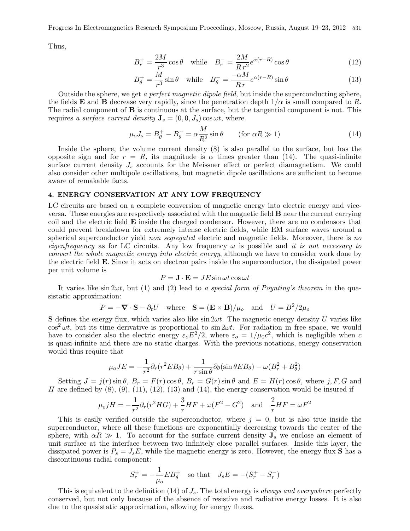Progress In Electromagnetics Research Symposium Proceedings, Moscow, Russia, August 19–23, 2012 531

Thus,

$$
B_r^+ = \frac{2M}{r^3} \cos \theta \quad \text{while} \quad B_r^- = \frac{2M}{R r^2} e^{\alpha(r-R)} \cos \theta \tag{12}
$$

$$
B_{\theta}^{+} = \frac{M}{r^3} \sin \theta \quad \text{while} \quad B_{\theta}^{-} = \frac{-\alpha M}{R r} e^{\alpha(r - R)} \sin \theta \tag{13}
$$

Outside the sphere, we get a perfect magnetic dipole field, but inside the superconducting sphere, the fields **E** and **B** decrease very rapidly, since the penetration depth  $1/\alpha$  is small compared to R. The radial component of **B** is continuous at the surface, but the tangential component is not. This requires a surface current density  $\mathbf{J}_s = (0, 0, J_s) \cos \omega t$ , where

$$
\mu_o J_s = B_\theta^+ - B_\theta^- = \alpha \frac{M}{R^2} \sin \theta \qquad \text{(for } \alpha R \gg 1\text{)}
$$
 (14)

Inside the sphere, the volume current density (8) is also parallel to the surface, but has the opposite sign and for  $r = R$ , its magnitude is  $\alpha$  times greater than (14). The quasi-infinite surface current density  $J_s$  accounts for the Meissner effect or perfect diamagnetism. We could also consider other multipole oscillations, but magnetic dipole oscillations are sufficient to become aware of remakable facts.

## 4. ENERGY CONSERVATION AT ANY LOW FREQUENCY

LC circuits are based on a complete conversion of magnetic energy into electric energy and viceversa. These energies are respectively associated with the magnetic field B near the current carrying coil and the electric field E inside the charged condensor. However, there are no condensors that could prevent breakdown for extremely intense electric fields, while EM surface waves around a spherical superconductor yield non segregated electric and magnetic fields. Moreover, there is no eigenfrequency as for LC circuits. Any low frequency  $\omega$  is possible and it is not necessary to convert the whole magnetic energy into electric energy, although we have to consider work done by the electric field E. Since it acts on electron pairs inside the superconductor, the dissipated power per unit volume is

$$
P = \mathbf{J} \cdot \mathbf{E} = JE \sin \omega t \cos \omega t
$$

It varies like sin  $2\omega t$ , but (1) and (2) lead to a special form of Poynting's theorem in the quasistatic approximation:

$$
P = -\nabla \cdot \mathbf{S} - \partial_t U
$$
 where  $\mathbf{S} = (\mathbf{E} \times \mathbf{B})/\mu_o$  and  $U = B^2/2\mu_o$ 

**S** defines the energy flux, which varies also like  $\sin 2\omega t$ . The magnetic energy density U varies like  $\cos^2 \omega t$ , but its time derivative is proportional to  $\sin 2\omega t$ . For radiation in free space, we would have to consider also the electric energy  $\varepsilon_o E^2/2$ , where  $\varepsilon_o = 1/\mu_0 c^2$ , which is negligible when c is quasi-infinite and there are no static charges. With the previous notations, energy conservation would thus require that

$$
\mu_o J E = -\frac{1}{r^2} \partial_r (r^2 E B_\theta) + \frac{1}{r \sin \theta} \partial_\theta (\sin \theta E B_\theta) - \omega (B_r^2 + B_\theta^2)
$$

Setting  $J = j(r) \sin \theta$ ,  $B_r = F(r) \cos \theta$ ,  $B_r = G(r) \sin \theta$  and  $E = H(r) \cos \theta$ , where j, F, G and H are defined by  $(8)$ ,  $(9)$ ,  $(11)$ ,  $(12)$ ,  $(13)$  and  $(14)$ , the energy conservation would be insured if

$$
\mu_0 jH = -\frac{1}{r^2} \partial_r (r^2 HG) + \frac{3}{r} HF + \omega (F^2 - G^2) \quad \text{and} \quad \frac{2}{r} HF = \omega F^2
$$

This is easily verified outside the superconductor, where  $j = 0$ , but is also true inside the superconductor, where all these functions are exponentially decreasing towards the center of the sphere, with  $\alpha R \gg 1$ . To account for the surface current density  $J_s$  we enclose an element of unit surface at the interface between two infinitely close parallel surfaces. Inside this layer, the dissipated power is  $P_s = J_s E$ , while the magnetic energy is zero. However, the energy flux **S** has a discontinuous radial component:

$$
S_r^{\pm}=-\frac{1}{\mu_o}EB_\theta^{\pm}\quad\text{so that}\quad J_sE=-(S_r^+-S_r^-)
$$

This is equivalent to the definition (14) of  $J_s$ . The total energy is always and everywhere perfectly conserved, but not only because of the absence of resistive and radiative energy losses. It is also due to the quasistatic approximation, allowing for energy fluxes.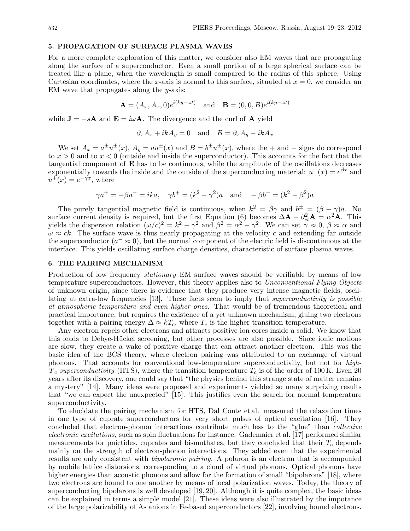## 5. PROPAGATION OF SURFACE PLASMA WAVES

For a more complete exploration of this matter, we consider also EM waves that are propagating along the surface of a superconductor. Even a small portion of a large spherical surface can be treated like a plane, when the wavelength is small compared to the radius of this sphere. Using Cartesian coordinates, where the x-axis is normal to this surface, situated at  $x = 0$ , we consider an EM wave that propagates along the y-axis:

$$
\mathbf{A} = (A_x, A_x, 0)e^{i(ky - \omega t)} \quad \text{and} \quad \mathbf{B} = (0, 0, B)e^{i(ky - \omega t)}
$$

while  $J = -sA$  and  $E = i\omega A$ . The divergence and the curl of A yield

$$
\partial_x A_x + ikA_y = 0
$$
 and  $B = \partial_x A_y - ikA_x$ 

We set  $A_x = a^{\pm}u^{\pm}(x)$ ,  $A_y = au^{\pm}(x)$  and  $B = b^{\pm}u^{\pm}(x)$ , where the  $+$  and  $-$  signs do correspond to  $x > 0$  and to  $x < 0$  (outside and inside the superconductor). This accounts for the fact that the tangential component of E has to be continuous, while the amplitude of the oscillations decreases exponentially towards the inside and the outside of the superconducting material:  $u^-(x) = e^{\beta x}$  and  $u^{\dagger}(x) = e^{-\gamma x}$ , where

$$
\gamma a^{+} = -\beta a^{-} = ika
$$
,  $\gamma b^{+} = (k^{2} - \gamma^{2})a$  and  $-\beta b^{-} = (k^{2} - \beta^{2})a$ 

The purely tangential magnetic field is continuous, when  $k^2 = \beta \gamma$  and  $b^{\pm} = (\beta - \gamma)a$ . No surface current density is required, but the first Equation (6) becomes  $\Delta \mathbf{A} - \partial_{ct}^2 \mathbf{A} = \alpha^2 \mathbf{A}$ . This yields the dispersion relation  $(\omega/c)^2 = k^2 - \gamma^2$  and  $\beta^2 = \alpha^2 - \gamma^2$ . We can set  $\tilde{\gamma} \approx 0$ ,  $\beta \approx \alpha$  and  $\omega \approx ck$ . The surface wave is thus nearly propagating at the velocity c and extending far outside the superconductor  $(a^- \approx 0)$ , but the normal component of the electric field is discontinuous at the interface. This yields oscillating surface charge densities, characteristic of surface plasma waves.

#### 6. THE PAIRING MECHANISM

Production of low frequency stationary EM surface waves should be verifiable by means of low temperature superconductors. However, this theory applies also to Unconventional Flying Objects of unknown origin, since there is evidence that they produce very intense magnetic fields, oscillating at extra-low frequencies [13]. These facts seem to imply that superconductivity is possible at atmospheric temperature and even higher ones. That would be of tremendous theoretical and practical importance, but requires the existence of a yet unknown mechanism, gluing two electrons together with a pairing energy  $\Delta \approx kT_c$ , where  $T_c$  is the higher transition temperature.

Any electron repels other electrons and attracts positive ion cores inside a solid. We know that this leads to Debye-Hückel screening, but other processes are also possible. Since ionic motions are slow, they create a wake of positive charge that can attract another electron. This was the basic idea of the BCS theory, where electron pairing was attributed to an exchange of virtual phonons. That accounts for conventional low-temperature superconductivity, but not for high- $T_c$  superconductivity (HTS), where the transition temperature  $T_c$  is of the order of 100 K. Even 20 years after its discovery, one could say that "the physics behind this strange state of matter remains a mystery" [14]. Many ideas were proposed and experiments yielded so many surprizing results that "we can expect the unexpected" [15]. This justifies even the search for normal temperature superconductivity.

To elucidate the pairing mechanism for HTS, Dal Conte et al. measured the relaxation times in one type of cuprate superconductors for very short pulses of optical excitation [16]. They concluded that electron-phonon interactions contribute much less to the "glue" than collective electronic excitations, such as spin fluctuations for instance. Gademaier et al. [17] performed similar measurements for pnictides, cuprates and bismuthates, but they concluded that their  $T_c$  depends mainly on the strength of electron-phonon interactions. They added even that the experimental results are only consistent with bipolaronic pairing. A polaron is an electron that is accompanied by mobile lattice distorsions, corresponding to a cloud of virtual phonons. Optical phonons have higher energies than acoustic phonons and allow for the formation of small "bipolarons" [18], where two electrons are bound to one another by means of local polarization waves. Today, the theory of superconducting bipolarons is well developed [19, 20]. Although it is quite complex, the basic ideas can be explained in terms a simple model [21]. These ideas were also illustrated by the impotance of the large polarizability of As anions in Fe-based superconductors [22], involving bound electrons.